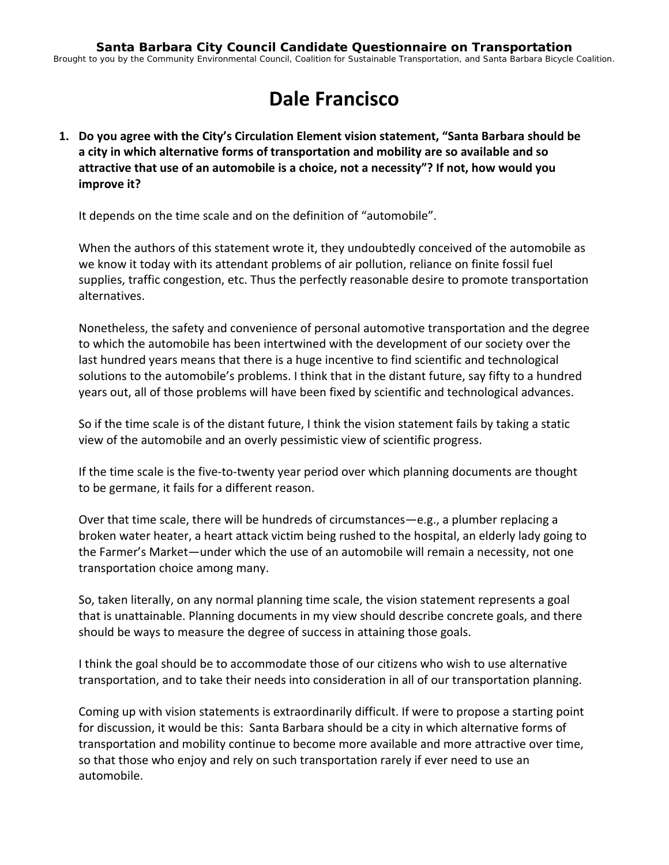# **Dale Francisco**

**1. Do you agree with the City's Circulation Element vision statement, "Santa Barbara should be a city in which alternative forms of transportation and mobility are so available and so attractive that use of an automobile is a choice, not a necessity"? If not, how would you improve it?**

It depends on the time scale and on the definition of "automobile".

When the authors of this statement wrote it, they undoubtedly conceived of the automobile as we know it today with its attendant problems of air pollution, reliance on finite fossil fuel supplies, traffic congestion, etc. Thus the perfectly reasonable desire to promote transportation alternatives.

Nonetheless, the safety and convenience of personal automotive transportation and the degree to which the automobile has been intertwined with the development of our society over the last hundred years means that there is a huge incentive to find scientific and technological solutions to the automobile's problems. I think that in the distant future, say fifty to a hundred years out, all of those problems will have been fixed by scientific and technological advances.

So if the time scale is of the distant future, I think the vision statement fails by taking a static view of the automobile and an overly pessimistic view of scientific progress.

If the time scale is the five‐to‐twenty year period over which planning documents are thought to be germane, it fails for a different reason.

Over that time scale, there will be hundreds of circumstances—e.g., a plumber replacing a broken water heater, a heart attack victim being rushed to the hospital, an elderly lady going to the Farmer's Market—under which the use of an automobile will remain a necessity, not one transportation choice among many.

So, taken literally, on any normal planning time scale, the vision statement represents a goal that is unattainable. Planning documents in my view should describe concrete goals, and there should be ways to measure the degree of success in attaining those goals.

I think the goal should be to accommodate those of our citizens who wish to use alternative transportation, and to take their needs into consideration in all of our transportation planning.

Coming up with vision statements is extraordinarily difficult. If were to propose a starting point for discussion, it would be this: Santa Barbara should be a city in which alternative forms of transportation and mobility continue to become more available and more attractive over time, so that those who enjoy and rely on such transportation rarely if ever need to use an automobile.